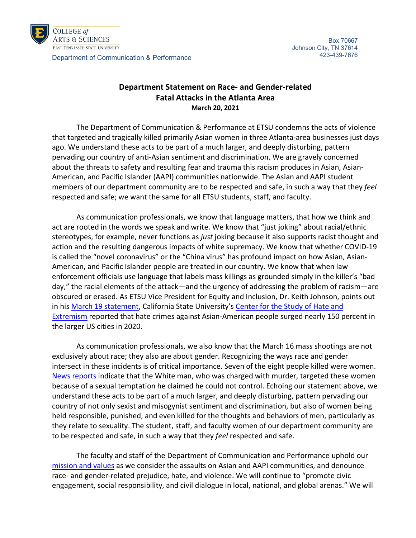

COLLEGE of **ARTS & SCIENCES** EAST TENNESSEE STATE UNIVERSITY

Department of Communication & Performance

## **Department Statement on Race- and Gender-related Fatal Attacks in the Atlanta Area March 20, 2021**

The Department of Communication & Performance at ETSU condemns the acts of violence that targeted and tragically killed primarily Asian women in three Atlanta-area businesses just days ago. We understand these acts to be part of a much larger, and deeply disturbing, pattern pervading our country of anti-Asian sentiment and discrimination. We are gravely concerned about the threats to safety and resulting fear and trauma this racism produces in Asian, Asian-American, and Pacific Islander (AAPI) communities nationwide. The Asian and AAPI student members of our department community are to be respected and safe, in such a way that they *feel* respected and safe; we want the same for all ETSU students, staff, and faculty.

As communication professionals, we know that language matters, that how we think and act are rooted in the words we speak and write. We know that "just joking" about racial/ethnic stereotypes, for example, never functions as *just* joking because it also supports racist thought and action and the resulting dangerous impacts of white supremacy. We know that whether COVID-19 is called the "novel coronavirus" or the "China virus" has profound impact on how Asian, Asian-American, and Pacific Islander people are treated in our country. We know that when law enforcement officials use language that labels mass killings as grounded simply in the killer's "bad day," the racial elements of the attack—and the urgency of addressing the problem of racism—are obscured or erased. As ETSU Vice President for Equity and Inclusion, Dr. Keith Johnson, points out in hi[s March 19 statement,](https://www.etsu.edu/equity/documents/letter_regarding_attacks_on_asian_community.pdf) California State University's [Center for the Study of Hate and](https://www.csusb.edu/hate-and-extremism-center)  [Extremism](https://www.csusb.edu/hate-and-extremism-center) reported that hate crimes against Asian-American people surged nearly 150 percent in the larger US cities in 2020.

As communication professionals, we also know that the March 16 mass shootings are not exclusively about race; they also are about gender. Recognizing the ways race and gender intersect in these incidents is of critical importance. Seven of the eight people killed were women. [News](https://www.gpb.org/news/2021/03/17/police-suspect-charged-in-massage-parlor-deaths-planned-kill-more) [reports](https://www.cbsnews.com/live-updates/atlanta-shootings-robert-long-murder-8-counts/) indicate that the White man, who was charged with murder, targeted these women because of a sexual temptation he claimed he could not control. Echoing our statement above, we understand these acts to be part of a much larger, and deeply disturbing, pattern pervading our country of not only sexist and misogynist sentiment and discrimination, but also of women being held responsible, punished, and even killed for the thoughts and behaviors of men, particularly as they relate to sexuality. The student, staff, and faculty women of our department community are to be respected and safe, in such a way that they *feel* respected and safe.

The faculty and staff of the Department of Communication and Performance uphold our [mission and values](https://www.etsu.edu/cas/comm_perform/welcome.php) as we consider the assaults on Asian and AAPI communities, and denounce race- and gender-related prejudice, hate, and violence. We will continue to "promote civic engagement, social responsibility, and civil dialogue in local, national, and global arenas." We will